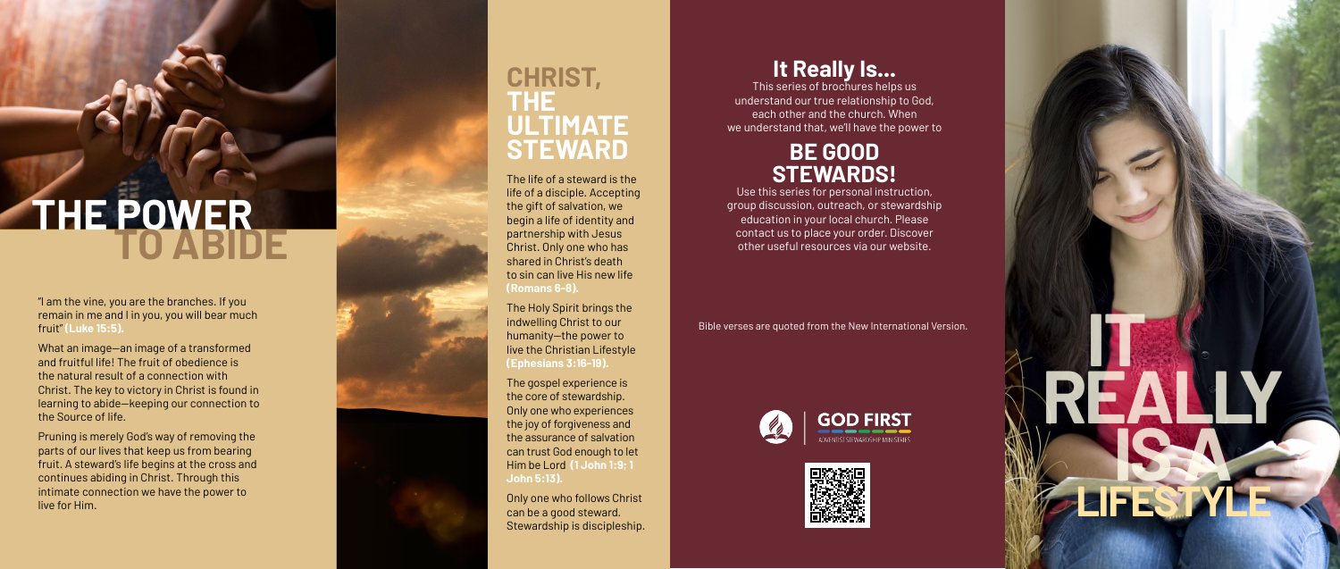The life of a steward is the life of a disciple. Accepting the gift of salvation, we begin a life of identity and partnership with Jesus Christ. Only one who has shared in Christ's death to sin can live His new life **(Romans 6-8).**

The Holy Spirit brings the indwelling Christ to our humanity—the power to live the Christian Lifestyle **(Ephesians 3:16-19).**

The gospel experience is the core of stewardship. Only one who experiences the joy of forgiveness and the assurance of salvation can trust God enough to let Him be Lord **(1 John 1:9; 1 John 5:13).**

Only one who follows Christ can be a good steward. Stewardship is discipleship.

### **CHRIST, THE ULTIMATE STEWARD**

"I am the vine, you are the branches. If you remain in me and I in you, you will bear much fruit" **(Luke 15:5).**



What an image—an image of a transformed and fruitful life! The fruit of obedience is the natural result of a connection with Christ. The key to victory in Christ is found in learning to abide—keeping our connection to the Source of life.

Pruning is merely God's way of removing the parts of our lives that keep us from bearing fruit. A steward's life begins at the cross and continues abiding in Christ. Through this intimate connection we have the power to live for Him.

# **THE POWER TO ABIDE**

Bible verses are quoted from the New International Version.





## **It Really Is...**

This series of brochures helps us understand our true relationship to God, each other and the church. When we understand that, we'll have the power to

### **BE GOOD STEWARDS!**

Use this series for personal instruction, group discussion, outreach, or stewardship education in your local church. Please contact us to place your order. Discover other useful resources via our website.